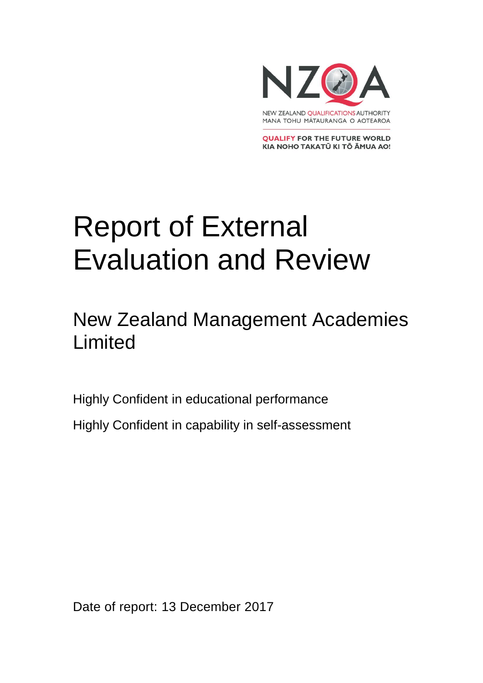

**QUALIFY FOR THE FUTURE WORLD** KIA NOHO TAKATŪ KI TŌ ĀMUA AO!

# Report of External Evaluation and Review

### New Zealand Management Academies Limited

Highly Confident in educational performance Highly Confident in capability in self-assessment

Date of report: 13 December 2017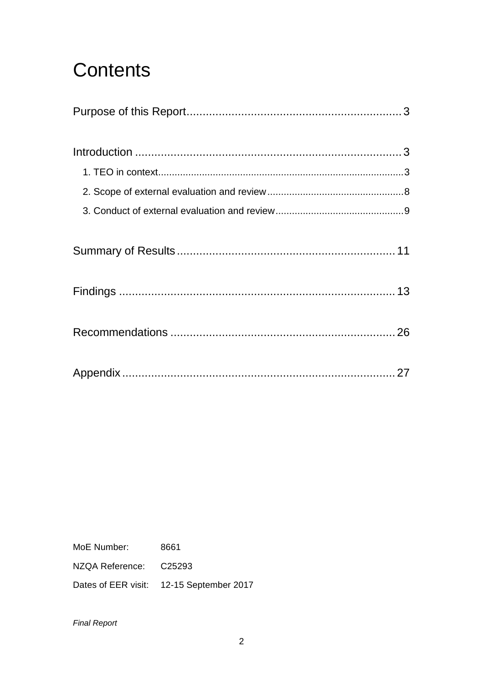## **Contents**

MoE Number: 8661

NZQA Reference: C25293

Dates of EER visit: 12-15 September 2017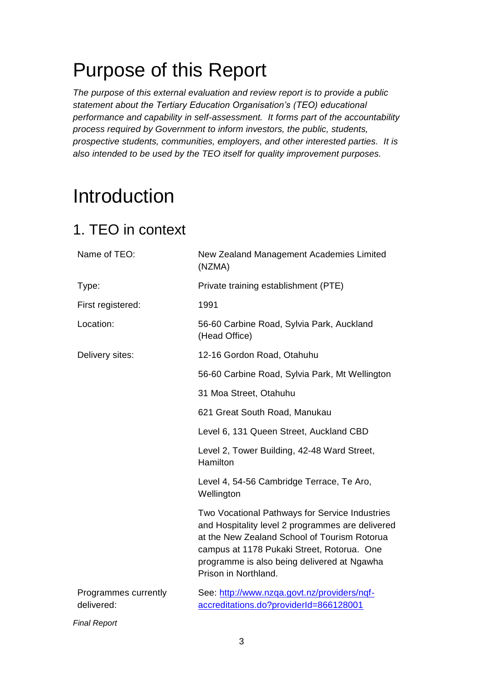## <span id="page-2-0"></span>Purpose of this Report

*The purpose of this external evaluation and review report is to provide a public statement about the Tertiary Education Organisation's (TEO) educational performance and capability in self-assessment. It forms part of the accountability process required by Government to inform investors, the public, students, prospective students, communities, employers, and other interested parties. It is also intended to be used by the TEO itself for quality improvement purposes.* 

## <span id="page-2-1"></span>Introduction

### <span id="page-2-2"></span>1. TEO in context

| Name of TEO:                       | New Zealand Management Academies Limited<br>(NZMA)                                                                                                                                                                                                                      |
|------------------------------------|-------------------------------------------------------------------------------------------------------------------------------------------------------------------------------------------------------------------------------------------------------------------------|
| Type:                              | Private training establishment (PTE)                                                                                                                                                                                                                                    |
| First registered:                  | 1991                                                                                                                                                                                                                                                                    |
| Location:                          | 56-60 Carbine Road, Sylvia Park, Auckland<br>(Head Office)                                                                                                                                                                                                              |
| Delivery sites:                    | 12-16 Gordon Road, Otahuhu                                                                                                                                                                                                                                              |
|                                    | 56-60 Carbine Road, Sylvia Park, Mt Wellington                                                                                                                                                                                                                          |
|                                    | 31 Moa Street, Otahuhu                                                                                                                                                                                                                                                  |
|                                    | 621 Great South Road, Manukau                                                                                                                                                                                                                                           |
|                                    | Level 6, 131 Queen Street, Auckland CBD                                                                                                                                                                                                                                 |
|                                    | Level 2, Tower Building, 42-48 Ward Street,<br>Hamilton                                                                                                                                                                                                                 |
|                                    | Level 4, 54-56 Cambridge Terrace, Te Aro,<br>Wellington                                                                                                                                                                                                                 |
|                                    | Two Vocational Pathways for Service Industries<br>and Hospitality level 2 programmes are delivered<br>at the New Zealand School of Tourism Rotorua<br>campus at 1178 Pukaki Street, Rotorua. One<br>programme is also being delivered at Ngawha<br>Prison in Northland. |
| Programmes currently<br>delivered: | See: http://www.nzqa.govt.nz/providers/nqf-<br>accreditations.do?providerId=866128001                                                                                                                                                                                   |
|                                    |                                                                                                                                                                                                                                                                         |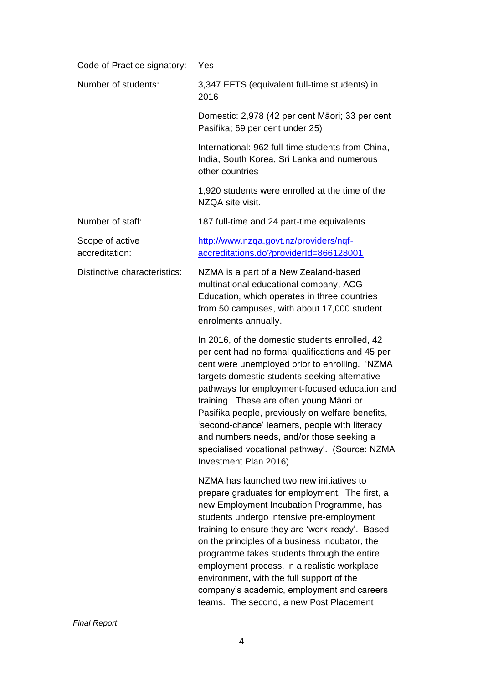| Code of Practice signatory:       | Yes                                                                                                                                                                                                                                                                                                                                                                                                                                                                                                                             |  |  |
|-----------------------------------|---------------------------------------------------------------------------------------------------------------------------------------------------------------------------------------------------------------------------------------------------------------------------------------------------------------------------------------------------------------------------------------------------------------------------------------------------------------------------------------------------------------------------------|--|--|
| Number of students:               | 3,347 EFTS (equivalent full-time students) in<br>2016                                                                                                                                                                                                                                                                                                                                                                                                                                                                           |  |  |
|                                   | Domestic: 2,978 (42 per cent Māori; 33 per cent<br>Pasifika; 69 per cent under 25)                                                                                                                                                                                                                                                                                                                                                                                                                                              |  |  |
|                                   | International: 962 full-time students from China,<br>India, South Korea, Sri Lanka and numerous<br>other countries                                                                                                                                                                                                                                                                                                                                                                                                              |  |  |
|                                   | 1,920 students were enrolled at the time of the<br>NZQA site visit.                                                                                                                                                                                                                                                                                                                                                                                                                                                             |  |  |
| Number of staff:                  | 187 full-time and 24 part-time equivalents                                                                                                                                                                                                                                                                                                                                                                                                                                                                                      |  |  |
| Scope of active<br>accreditation: | http://www.nzqa.govt.nz/providers/nqf-<br>accreditations.do?providerId=866128001                                                                                                                                                                                                                                                                                                                                                                                                                                                |  |  |
| Distinctive characteristics:      | NZMA is a part of a New Zealand-based<br>multinational educational company, ACG<br>Education, which operates in three countries<br>from 50 campuses, with about 17,000 student<br>enrolments annually.                                                                                                                                                                                                                                                                                                                          |  |  |
|                                   | In 2016, of the domestic students enrolled, 42<br>per cent had no formal qualifications and 45 per<br>cent were unemployed prior to enrolling. 'NZMA<br>targets domestic students seeking alternative<br>pathways for employment-focused education and<br>training. These are often young Māori or<br>Pasifika people, previously on welfare benefits,<br>second-chance' learners, people with literacy<br>and numbers needs, and/or those seeking a<br>specialised vocational pathway'. (Source: NZMA<br>Investment Plan 2016) |  |  |
|                                   | NZMA has launched two new initiatives to<br>prepare graduates for employment. The first, a<br>new Employment Incubation Programme, has<br>students undergo intensive pre-employment<br>training to ensure they are 'work-ready'. Based<br>on the principles of a business incubator, the<br>programme takes students through the entire<br>employment process, in a realistic workplace<br>environment, with the full support of the<br>company's academic, employment and careers<br>teams. The second, a new Post Placement   |  |  |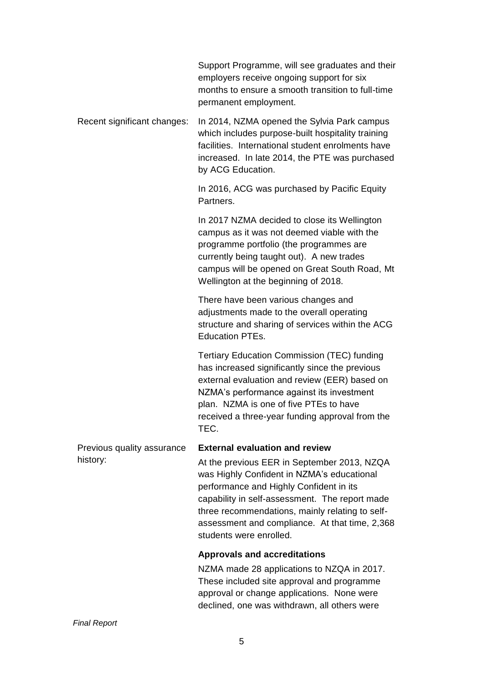|                                        | Support Programme, will see graduates and their<br>employers receive ongoing support for six<br>months to ensure a smooth transition to full-time<br>permanent employment.                                                                                                                                                                                      |  |  |
|----------------------------------------|-----------------------------------------------------------------------------------------------------------------------------------------------------------------------------------------------------------------------------------------------------------------------------------------------------------------------------------------------------------------|--|--|
| Recent significant changes:            | In 2014, NZMA opened the Sylvia Park campus<br>which includes purpose-built hospitality training<br>facilities. International student enrolments have<br>increased. In late 2014, the PTE was purchased<br>by ACG Education.                                                                                                                                    |  |  |
|                                        | In 2016, ACG was purchased by Pacific Equity<br>Partners.                                                                                                                                                                                                                                                                                                       |  |  |
|                                        | In 2017 NZMA decided to close its Wellington<br>campus as it was not deemed viable with the<br>programme portfolio (the programmes are<br>currently being taught out). A new trades<br>campus will be opened on Great South Road, Mt<br>Wellington at the beginning of 2018.                                                                                    |  |  |
|                                        | There have been various changes and<br>adjustments made to the overall operating<br>structure and sharing of services within the ACG<br><b>Education PTEs.</b>                                                                                                                                                                                                  |  |  |
|                                        | <b>Tertiary Education Commission (TEC) funding</b><br>has increased significantly since the previous<br>external evaluation and review (EER) based on<br>NZMA's performance against its investment<br>plan. NZMA is one of five PTEs to have<br>received a three-year funding approval from the<br>TEC.                                                         |  |  |
| Previous quality assurance<br>history: | <b>External evaluation and review</b><br>At the previous EER in September 2013, NZQA<br>was Highly Confident in NZMA's educational<br>performance and Highly Confident in its<br>capability in self-assessment. The report made<br>three recommendations, mainly relating to self-<br>assessment and compliance. At that time, 2,368<br>students were enrolled. |  |  |
|                                        | <b>Approvals and accreditations</b><br>NZMA made 28 applications to NZQA in 2017.<br>These included site approval and programme<br>approval or change applications. None were<br>declined, one was withdrawn, all others were                                                                                                                                   |  |  |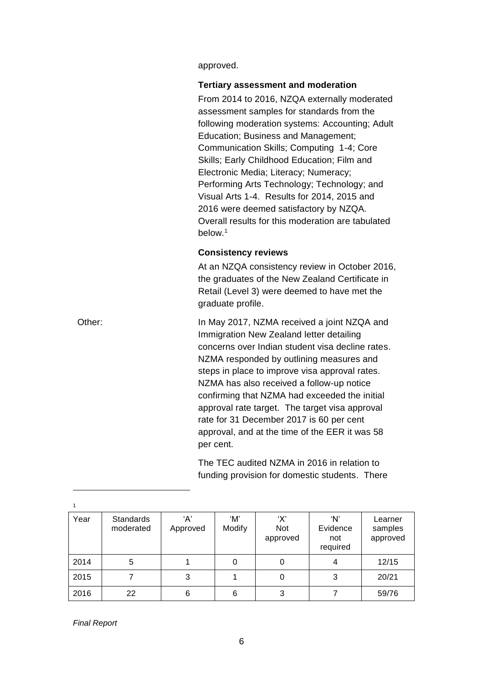approved.

#### **Tertiary assessment and moderation**

From 2014 to 2016, NZQA externally moderated assessment samples for standards from the following moderation systems: Accounting; Adult Education; Business and Management; Communication Skills; Computing 1-4; Core Skills; Early Childhood Education; Film and Electronic Media; Literacy; Numeracy; Performing Arts Technology; Technology; and Visual Arts 1-4. Results for 2014, 2015 and 2016 were deemed satisfactory by NZQA. Overall results for this moderation are tabulated below.<sup>1</sup>

#### **Consistency reviews**

At an NZQA consistency review in October 2016, the graduates of the New Zealand Certificate in Retail (Level 3) were deemed to have met the graduate profile.

Other: In May 2017, NZMA received a joint NZQA and Immigration New Zealand letter detailing concerns over Indian student visa decline rates. NZMA responded by outlining measures and steps in place to improve visa approval rates. NZMA has also received a follow-up notice confirming that NZMA had exceeded the initial approval rate target. The target visa approval rate for 31 December 2017 is 60 per cent approval, and at the time of the EER it was 58 per cent.

> The TEC audited NZMA in 2016 in relation to funding provision for domestic students. There

| Year | <b>Standards</b><br>moderated | ʻA'<br>Approved | ʻM'<br>Modify | 'X'<br>Not<br>approved | ʻN'<br>Evidence<br>not<br>required | Learner<br>samples<br>approved |
|------|-------------------------------|-----------------|---------------|------------------------|------------------------------------|--------------------------------|
| 2014 | 5                             |                 | O             | 0                      | 4                                  | 12/15                          |
| 2015 |                               | 3               |               | 0                      | 3                                  | 20/21                          |
| 2016 | 22                            | 6               | 6             | 3                      |                                    | 59/76                          |

*Final Report*

 $\overline{a}$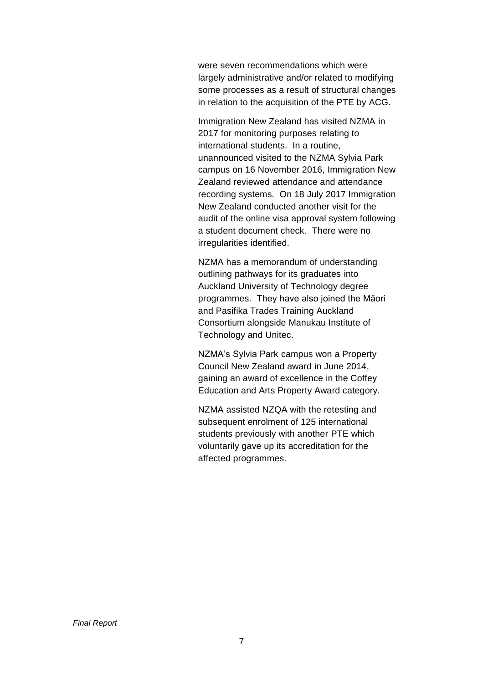were seven recommendations which were largely administrative and/or related to modifying some processes as a result of structural changes in relation to the acquisition of the PTE by ACG.

Immigration New Zealand has visited NZMA in 2017 for monitoring purposes relating to international students. In a routine, unannounced visited to the NZMA Sylvia Park campus on 16 November 2016, Immigration New Zealand reviewed attendance and attendance recording systems. On 18 July 2017 Immigration New Zealand conducted another visit for the audit of the online visa approval system following a student document check. There were no irregularities identified.

NZMA has a memorandum of understanding outlining pathways for its graduates into Auckland University of Technology degree programmes. They have also joined the Māori and Pasifika Trades Training Auckland Consortium alongside Manukau Institute of Technology and Unitec.

NZMA's Sylvia Park campus won a Property Council New Zealand award in June 2014, gaining an award of excellence in the Coffey Education and Arts Property Award category.

<span id="page-6-0"></span>NZMA assisted NZQA with the retesting and subsequent enrolment of 125 international students previously with another PTE which voluntarily gave up its accreditation for the affected programmes.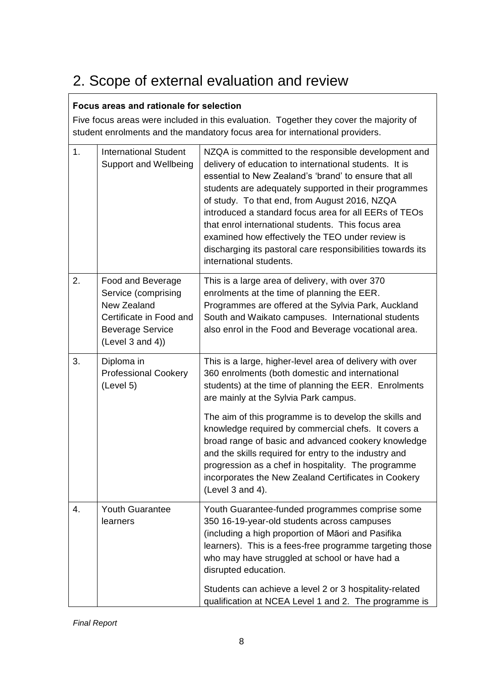### 2. Scope of external evaluation and review

#### **Focus areas and rationale for selection**

Five focus areas were included in this evaluation. Together they cover the majority of student enrolments and the mandatory focus area for international providers.

| 1. | <b>International Student</b><br><b>Support and Wellbeing</b>                                                                      | NZQA is committed to the responsible development and<br>delivery of education to international students. It is<br>essential to New Zealand's 'brand' to ensure that all<br>students are adequately supported in their programmes<br>of study. To that end, from August 2016, NZQA<br>introduced a standard focus area for all EERs of TEOs<br>that enrol international students. This focus area<br>examined how effectively the TEO under review is<br>discharging its pastoral care responsibilities towards its<br>international students. |
|----|-----------------------------------------------------------------------------------------------------------------------------------|-----------------------------------------------------------------------------------------------------------------------------------------------------------------------------------------------------------------------------------------------------------------------------------------------------------------------------------------------------------------------------------------------------------------------------------------------------------------------------------------------------------------------------------------------|
| 2. | Food and Beverage<br>Service (comprising<br>New Zealand<br>Certificate in Food and<br><b>Beverage Service</b><br>(Level 3 and 4)) | This is a large area of delivery, with over 370<br>enrolments at the time of planning the EER.<br>Programmes are offered at the Sylvia Park, Auckland<br>South and Waikato campuses. International students<br>also enrol in the Food and Beverage vocational area.                                                                                                                                                                                                                                                                           |
| 3. | Diploma in<br><b>Professional Cookery</b><br>(Level 5)                                                                            | This is a large, higher-level area of delivery with over<br>360 enrolments (both domestic and international<br>students) at the time of planning the EER. Enrolments<br>are mainly at the Sylvia Park campus.                                                                                                                                                                                                                                                                                                                                 |
|    |                                                                                                                                   | The aim of this programme is to develop the skills and<br>knowledge required by commercial chefs. It covers a<br>broad range of basic and advanced cookery knowledge<br>and the skills required for entry to the industry and<br>progression as a chef in hospitality. The programme<br>incorporates the New Zealand Certificates in Cookery<br>(Level 3 and 4).                                                                                                                                                                              |
| 4. | Youth Guarantee<br>learners                                                                                                       | Youth Guarantee-funded programmes comprise some<br>350 16-19-year-old students across campuses<br>(including a high proportion of Māori and Pasifika<br>learners). This is a fees-free programme targeting those<br>who may have struggled at school or have had a<br>disrupted education.                                                                                                                                                                                                                                                    |
|    |                                                                                                                                   | Students can achieve a level 2 or 3 hospitality-related<br>qualification at NCEA Level 1 and 2. The programme is                                                                                                                                                                                                                                                                                                                                                                                                                              |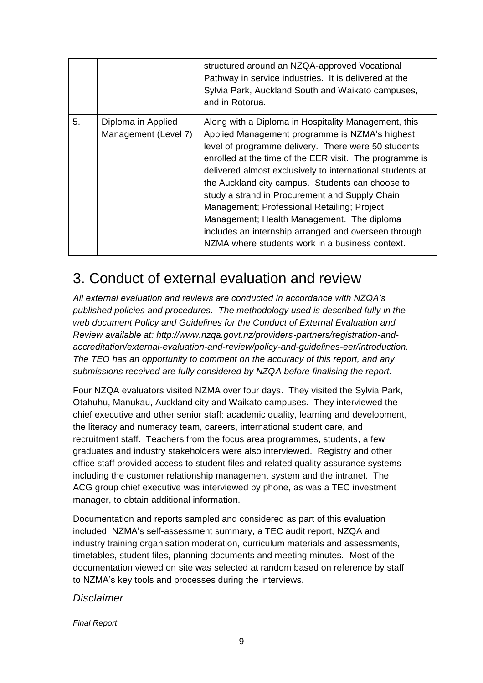|    |                                            | structured around an NZQA-approved Vocational<br>Pathway in service industries. It is delivered at the<br>Sylvia Park, Auckland South and Waikato campuses,<br>and in Rotorua.                                                                                                                                                                                                                                                                                                                                                                                                                      |
|----|--------------------------------------------|-----------------------------------------------------------------------------------------------------------------------------------------------------------------------------------------------------------------------------------------------------------------------------------------------------------------------------------------------------------------------------------------------------------------------------------------------------------------------------------------------------------------------------------------------------------------------------------------------------|
| 5. | Diploma in Applied<br>Management (Level 7) | Along with a Diploma in Hospitality Management, this<br>Applied Management programme is NZMA's highest<br>level of programme delivery. There were 50 students<br>enrolled at the time of the EER visit. The programme is<br>delivered almost exclusively to international students at<br>the Auckland city campus. Students can choose to<br>study a strand in Procurement and Supply Chain<br>Management; Professional Retailing; Project<br>Management; Health Management. The diploma<br>includes an internship arranged and overseen through<br>NZMA where students work in a business context. |

### <span id="page-8-0"></span>3. Conduct of external evaluation and review

*All external evaluation and reviews are conducted in accordance with NZQA's published policies and procedures. The methodology used is described fully in the web document Policy and Guidelines for the Conduct of External Evaluation and Review available at: http://www.nzqa.govt.nz/providers-partners/registration-andaccreditation/external-evaluation-and-review/policy-and-guidelines-eer/introduction. The TEO has an opportunity to comment on the accuracy of this report, and any submissions received are fully considered by NZQA before finalising the report.*

Four NZQA evaluators visited NZMA over four days. They visited the Sylvia Park, Otahuhu, Manukau, Auckland city and Waikato campuses. They interviewed the chief executive and other senior staff: academic quality, learning and development, the literacy and numeracy team, careers, international student care, and recruitment staff. Teachers from the focus area programmes, students, a few graduates and industry stakeholders were also interviewed. Registry and other office staff provided access to student files and related quality assurance systems including the customer relationship management system and the intranet. The ACG group chief executive was interviewed by phone, as was a TEC investment manager, to obtain additional information.

Documentation and reports sampled and considered as part of this evaluation included: NZMA's self-assessment summary, a TEC audit report, NZQA and industry training organisation moderation, curriculum materials and assessments, timetables, student files, planning documents and meeting minutes. Most of the documentation viewed on site was selected at random based on reference by staff to NZMA's key tools and processes during the interviews.

#### *Disclaimer*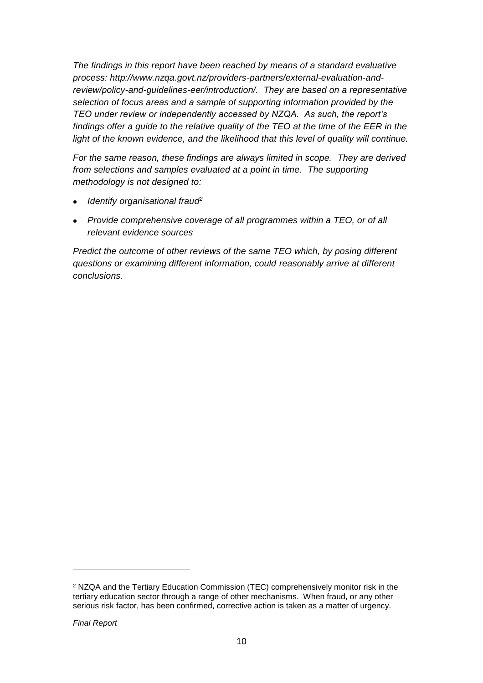*The findings in this report have been reached by means of a standard evaluative process: [http://www.nzqa.govt.nz/providers-partners/external-evaluation-and](http://www.nzqa.govt.nz/providers-partners/external-evaluation-and-review/policy-and-guidelines-eer/introduction/)[review/policy-and-guidelines-eer/introduction/.](http://www.nzqa.govt.nz/providers-partners/external-evaluation-and-review/policy-and-guidelines-eer/introduction/) They are based on a representative selection of focus areas and a sample of supporting information provided by the TEO under review or independently accessed by NZQA. As such, the report's findings offer a guide to the relative quality of the TEO at the time of the EER in the*  light of the known evidence, and the likelihood that this level of quality will continue.

*For the same reason, these findings are always limited in scope. They are derived from selections and samples evaluated at a point in time. The supporting methodology is not designed to:*

- *Identify organisational fraud<sup>2</sup>*
- *Provide comprehensive coverage of all programmes within a TEO, or of all relevant evidence sources*

*Predict the outcome of other reviews of the same TEO which, by posing different questions or examining different information, could reasonably arrive at different conclusions.*

 $\overline{a}$ 

<sup>2</sup> NZQA and the Tertiary Education Commission (TEC) comprehensively monitor risk in the tertiary education sector through a range of other mechanisms. When fraud, or any other serious risk factor, has been confirmed, corrective action is taken as a matter of urgency.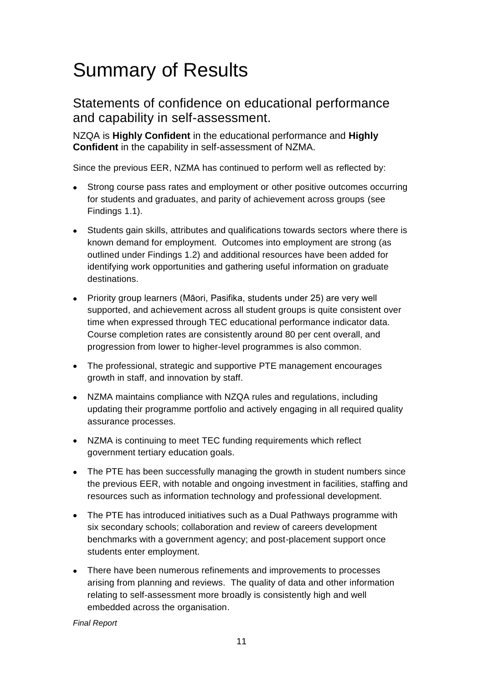## <span id="page-10-0"></span>Summary of Results

Statements of confidence on educational performance and capability in self-assessment.

NZQA is **Highly Confident** in the educational performance and **Highly Confident** in the capability in self-assessment of NZMA.

Since the previous EER, NZMA has continued to perform well as reflected by:

- Strong course pass rates and employment or other positive outcomes occurring for students and graduates, and parity of achievement across groups (see Findings 1.1).
- Students gain skills, attributes and qualifications towards sectors where there is known demand for employment. Outcomes into employment are strong (as outlined under Findings 1.2) and additional resources have been added for identifying work opportunities and gathering useful information on graduate destinations.
- Priority group learners (Māori, Pasifika, students under 25) are very well supported, and achievement across all student groups is quite consistent over time when expressed through TEC educational performance indicator data. Course completion rates are consistently around 80 per cent overall, and progression from lower to higher-level programmes is also common.
- The professional, strategic and supportive PTE management encourages growth in staff, and innovation by staff.
- NZMA maintains compliance with NZQA rules and regulations, including updating their programme portfolio and actively engaging in all required quality assurance processes.
- NZMA is continuing to meet TEC funding requirements which reflect government tertiary education goals.
- The PTE has been successfully managing the growth in student numbers since the previous EER, with notable and ongoing investment in facilities, staffing and resources such as information technology and professional development.
- The PTE has introduced initiatives such as a Dual Pathways programme with six secondary schools; collaboration and review of careers development benchmarks with a government agency; and post-placement support once students enter employment.
- There have been numerous refinements and improvements to processes arising from planning and reviews. The quality of data and other information relating to self-assessment more broadly is consistently high and well embedded across the organisation.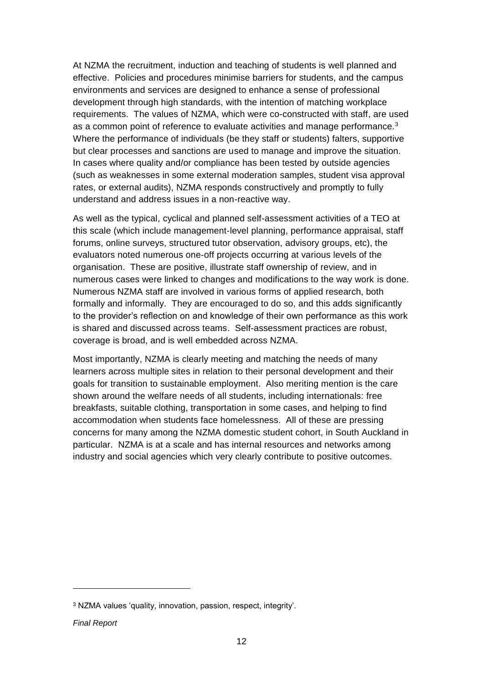At NZMA the recruitment, induction and teaching of students is well planned and effective. Policies and procedures minimise barriers for students, and the campus environments and services are designed to enhance a sense of professional development through high standards, with the intention of matching workplace requirements. The values of NZMA, which were co-constructed with staff, are used as a common point of reference to evaluate activities and manage performance.<sup>3</sup> Where the performance of individuals (be they staff or students) falters, supportive but clear processes and sanctions are used to manage and improve the situation. In cases where quality and/or compliance has been tested by outside agencies (such as weaknesses in some external moderation samples, student visa approval rates, or external audits), NZMA responds constructively and promptly to fully understand and address issues in a non-reactive way.

As well as the typical, cyclical and planned self-assessment activities of a TEO at this scale (which include management-level planning, performance appraisal, staff forums, online surveys, structured tutor observation, advisory groups, etc), the evaluators noted numerous one-off projects occurring at various levels of the organisation. These are positive, illustrate staff ownership of review, and in numerous cases were linked to changes and modifications to the way work is done. Numerous NZMA staff are involved in various forms of applied research, both formally and informally. They are encouraged to do so, and this adds significantly to the provider's reflection on and knowledge of their own performance as this work is shared and discussed across teams. Self-assessment practices are robust, coverage is broad, and is well embedded across NZMA.

Most importantly, NZMA is clearly meeting and matching the needs of many learners across multiple sites in relation to their personal development and their goals for transition to sustainable employment. Also meriting mention is the care shown around the welfare needs of all students, including internationals: free breakfasts, suitable clothing, transportation in some cases, and helping to find accommodation when students face homelessness. All of these are pressing concerns for many among the NZMA domestic student cohort, in South Auckland in particular. NZMA is at a scale and has internal resources and networks among industry and social agencies which very clearly contribute to positive outcomes.

<sup>3</sup> NZMA values 'quality, innovation, passion, respect, integrity'.

*Final Report*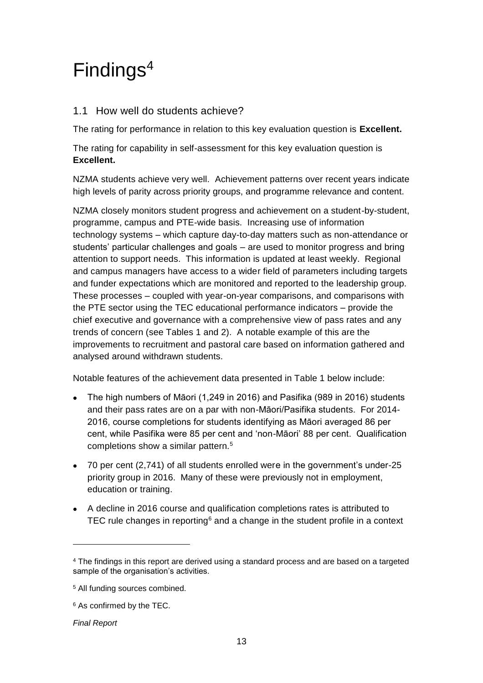## <span id="page-12-0"></span>Findings<sup>4</sup>

#### 1.1 How well do students achieve?

The rating for performance in relation to this key evaluation question is **Excellent.**

The rating for capability in self-assessment for this key evaluation question is **Excellent.**

NZMA students achieve very well. Achievement patterns over recent years indicate high levels of parity across priority groups, and programme relevance and content.

NZMA closely monitors student progress and achievement on a student-by-student, programme, campus and PTE-wide basis. Increasing use of information technology systems – which capture day-to-day matters such as non-attendance or students' particular challenges and goals – are used to monitor progress and bring attention to support needs. This information is updated at least weekly. Regional and campus managers have access to a wider field of parameters including targets and funder expectations which are monitored and reported to the leadership group. These processes – coupled with year-on-year comparisons, and comparisons with the PTE sector using the TEC educational performance indicators – provide the chief executive and governance with a comprehensive view of pass rates and any trends of concern (see Tables 1 and 2). A notable example of this are the improvements to recruitment and pastoral care based on information gathered and analysed around withdrawn students.

Notable features of the achievement data presented in Table 1 below include:

- The high numbers of Māori (1,249 in 2016) and Pasifika (989 in 2016) students and their pass rates are on a par with non-Māori/Pasifika students. For 2014- 2016, course completions for students identifying as Māori averaged 86 per cent, while Pasifika were 85 per cent and 'non-Māori' 88 per cent. Qualification completions show a similar pattern.<sup>5</sup>
- 70 per cent (2,741) of all students enrolled were in the government's under-25 priority group in 2016. Many of these were previously not in employment, education or training.
- A decline in 2016 course and qualification completions rates is attributed to TEC rule changes in reporting<sup> $6$ </sup> and a change in the student profile in a context

 $\overline{a}$ 

<sup>4</sup> The findings in this report are derived using a standard process and are based on a targeted sample of the organisation's activities.

<sup>5</sup> All funding sources combined.

<sup>6</sup> As confirmed by the TEC.

*Final Report*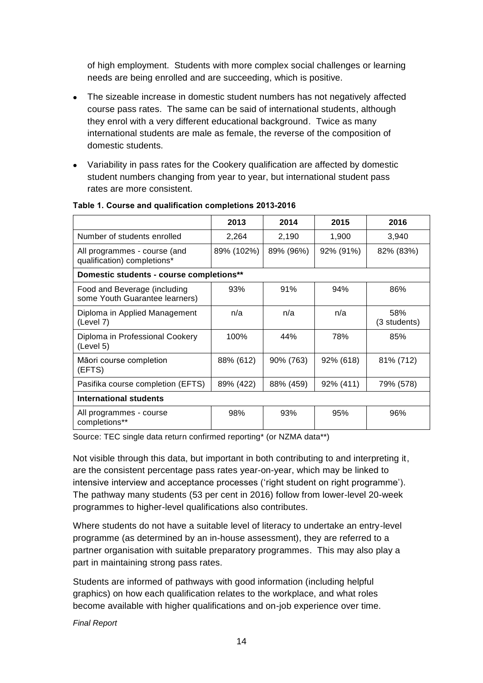of high employment. Students with more complex social challenges or learning needs are being enrolled and are succeeding, which is positive.

- The sizeable increase in domestic student numbers has not negatively affected course pass rates. The same can be said of international students, although they enrol with a very different educational background. Twice as many international students are male as female, the reverse of the composition of domestic students.
- Variability in pass rates for the Cookery qualification are affected by domestic student numbers changing from year to year, but international student pass rates are more consistent.

|                                                                | 2013       | 2014      | 2015      | 2016                |  |
|----------------------------------------------------------------|------------|-----------|-----------|---------------------|--|
| Number of students enrolled                                    | 2,264      | 2,190     | 1,900     | 3,940               |  |
| All programmes - course (and<br>qualification) completions*    | 89% (102%) | 89% (96%) | 92% (91%) | 82% (83%)           |  |
| Domestic students - course completions**                       |            |           |           |                     |  |
| Food and Beverage (including<br>some Youth Guarantee learners) | 93%        | 91%       | 94%       | 86%                 |  |
| Diploma in Applied Management<br>(Level 7)                     | n/a        | n/a       | n/a       | 58%<br>(3 students) |  |
| Diploma in Professional Cookery<br>(Level 5)                   | 100%       | 44%       | 78%       | 85%                 |  |
| Māori course completion<br>(EFTS)                              | 88% (612)  | 90% (763) | 92% (618) | 81% (712)           |  |
| Pasifika course completion (EFTS)                              | 89% (422)  | 88% (459) | 92% (411) | 79% (578)           |  |
| <b>International students</b>                                  |            |           |           |                     |  |
| All programmes - course<br>completions**                       | 98%        | 93%       | 95%       | 96%                 |  |

#### **Table 1. Course and qualification completions 2013-2016**

Source: TEC single data return confirmed reporting\* (or NZMA data\*\*)

Not visible through this data, but important in both contributing to and interpreting it, are the consistent percentage pass rates year-on-year, which may be linked to intensive interview and acceptance processes ('right student on right programme'). The pathway many students (53 per cent in 2016) follow from lower-level 20-week programmes to higher-level qualifications also contributes.

Where students do not have a suitable level of literacy to undertake an entry-level programme (as determined by an in-house assessment), they are referred to a partner organisation with suitable preparatory programmes. This may also play a part in maintaining strong pass rates.

Students are informed of pathways with good information (including helpful graphics) on how each qualification relates to the workplace, and what roles become available with higher qualifications and on-job experience over time.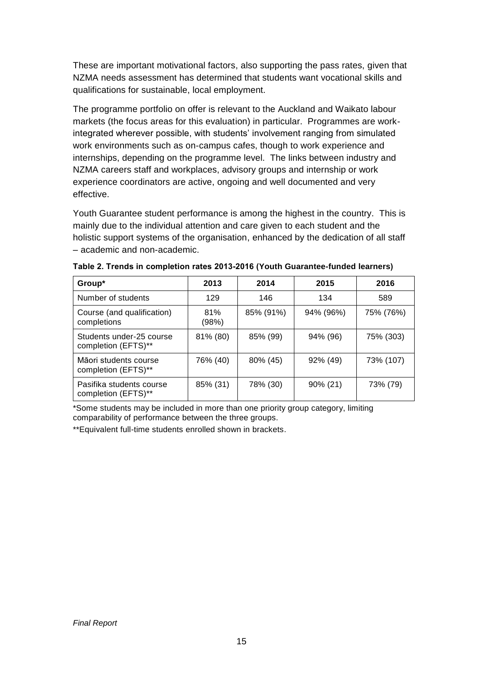These are important motivational factors, also supporting the pass rates, given that NZMA needs assessment has determined that students want vocational skills and qualifications for sustainable, local employment.

The programme portfolio on offer is relevant to the Auckland and Waikato labour markets (the focus areas for this evaluation) in particular. Programmes are workintegrated wherever possible, with students' involvement ranging from simulated work environments such as on-campus cafes, though to work experience and internships, depending on the programme level. The links between industry and NZMA careers staff and workplaces, advisory groups and internship or work experience coordinators are active, ongoing and well documented and very effective.

Youth Guarantee student performance is among the highest in the country. This is mainly due to the individual attention and care given to each student and the holistic support systems of the organisation, enhanced by the dedication of all staff – academic and non-academic.

| Group <sup>*</sup>                              | 2013         | 2014      | 2015        | 2016      |
|-------------------------------------------------|--------------|-----------|-------------|-----------|
| Number of students                              | 129          | 146       | 134         | 589       |
| Course (and qualification)<br>completions       | 81%<br>(98%) | 85% (91%) | 94% (96%)   | 75% (76%) |
| Students under-25 course<br>completion (EFTS)** | 81% (80)     | 85% (99)  | 94% (96)    | 75% (303) |
| Māori students course<br>completion (EFTS)**    | 76% (40)     | 80% (45)  | 92% (49)    | 73% (107) |
| Pasifika students course<br>completion (EFTS)** | 85% (31)     | 78% (30)  | $90\% (21)$ | 73% (79)  |

**Table 2. Trends in completion rates 2013-2016 (Youth Guarantee-funded learners)**

\*Some students may be included in more than one priority group category, limiting comparability of performance between the three groups.

\*\*Equivalent full-time students enrolled shown in brackets.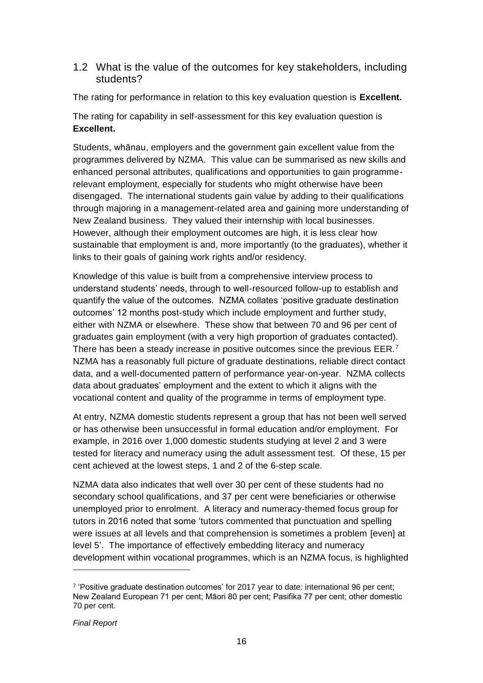#### 1.2 What is the value of the outcomes for key stakeholders, including students?

The rating for performance in relation to this key evaluation question is **Excellent.**

The rating for capability in self-assessment for this key evaluation question is **Excellent.**

Students, whānau, employers and the government gain excellent value from the programmes delivered by NZMA. This value can be summarised as new skills and enhanced personal attributes, qualifications and opportunities to gain programmerelevant employment, especially for students who might otherwise have been disengaged. The international students gain value by adding to their qualifications through majoring in a management-related area and gaining more understanding of New Zealand business. They valued their internship with local businesses. However, although their employment outcomes are high, it is less clear how sustainable that employment is and, more importantly (to the graduates), whether it links to their goals of gaining work rights and/or residency.

Knowledge of this value is built from a comprehensive interview process to understand students' needs, through to well-resourced follow-up to establish and quantify the value of the outcomes. NZMA collates 'positive graduate destination outcomes' 12 months post-study which include employment and further study, either with NZMA or elsewhere. These show that between 70 and 96 per cent of graduates gain employment (with a very high proportion of graduates contacted). There has been a steady increase in positive outcomes since the previous  $EER.^7$ NZMA has a reasonably full picture of graduate destinations, reliable direct contact data, and a well-documented pattern of performance year-on-year. NZMA collects data about graduates' employment and the extent to which it aligns with the vocational content and quality of the programme in terms of employment type.

At entry, NZMA domestic students represent a group that has not been well served or has otherwise been unsuccessful in formal education and/or employment. For example, in 2016 over 1,000 domestic students studying at level 2 and 3 were tested for literacy and numeracy using the adult assessment test. Of these, 15 per cent achieved at the lowest steps, 1 and 2 of the 6-step scale.

NZMA data also indicates that well over 30 per cent of these students had no secondary school qualifications, and 37 per cent were beneficiaries or otherwise unemployed prior to enrolment. A literacy and numeracy-themed focus group for tutors in 2016 noted that some 'tutors commented that punctuation and spelling were issues at all levels and that comprehension is sometimes a problem [even] at level 5'. The importance of effectively embedding literacy and numeracy development within vocational programmes, which is an NZMA focus, is highlighted

 $\overline{a}$ 

<sup>7</sup> 'Positive graduate destination outcomes' for 2017 year to date: international 96 per cent; New Zealand European 71 per cent; Māori 80 per cent; Pasifika 77 per cent; other domestic 70 per cent.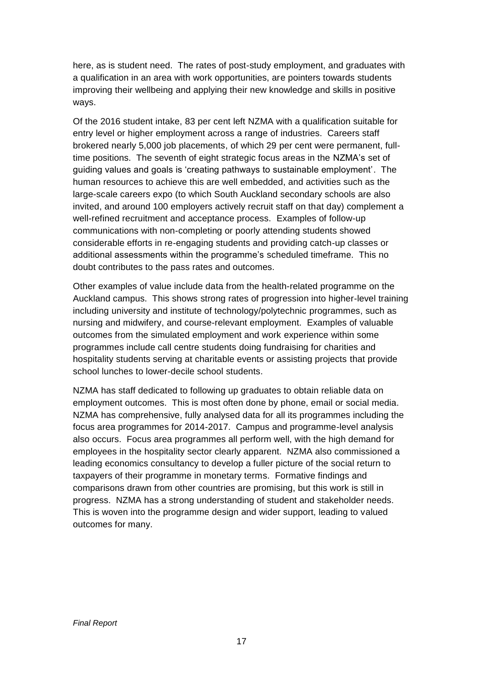here, as is student need. The rates of post-study employment, and graduates with a qualification in an area with work opportunities, are pointers towards students improving their wellbeing and applying their new knowledge and skills in positive ways.

Of the 2016 student intake, 83 per cent left NZMA with a qualification suitable for entry level or higher employment across a range of industries. Careers staff brokered nearly 5,000 job placements, of which 29 per cent were permanent, fulltime positions. The seventh of eight strategic focus areas in the NZMA's set of guiding values and goals is 'creating pathways to sustainable employment'. The human resources to achieve this are well embedded, and activities such as the large-scale careers expo (to which South Auckland secondary schools are also invited, and around 100 employers actively recruit staff on that day) complement a well-refined recruitment and acceptance process. Examples of follow-up communications with non-completing or poorly attending students showed considerable efforts in re-engaging students and providing catch-up classes or additional assessments within the programme's scheduled timeframe. This no doubt contributes to the pass rates and outcomes.

Other examples of value include data from the health-related programme on the Auckland campus. This shows strong rates of progression into higher-level training including university and institute of technology/polytechnic programmes, such as nursing and midwifery, and course-relevant employment. Examples of valuable outcomes from the simulated employment and work experience within some programmes include call centre students doing fundraising for charities and hospitality students serving at charitable events or assisting projects that provide school lunches to lower-decile school students.

NZMA has staff dedicated to following up graduates to obtain reliable data on employment outcomes. This is most often done by phone, email or social media. NZMA has comprehensive, fully analysed data for all its programmes including the focus area programmes for 2014-2017. Campus and programme-level analysis also occurs. Focus area programmes all perform well, with the high demand for employees in the hospitality sector clearly apparent. NZMA also commissioned a leading economics consultancy to develop a fuller picture of the social return to taxpayers of their programme in monetary terms. Formative findings and comparisons drawn from other countries are promising, but this work is still in progress. NZMA has a strong understanding of student and stakeholder needs. This is woven into the programme design and wider support, leading to valued outcomes for many.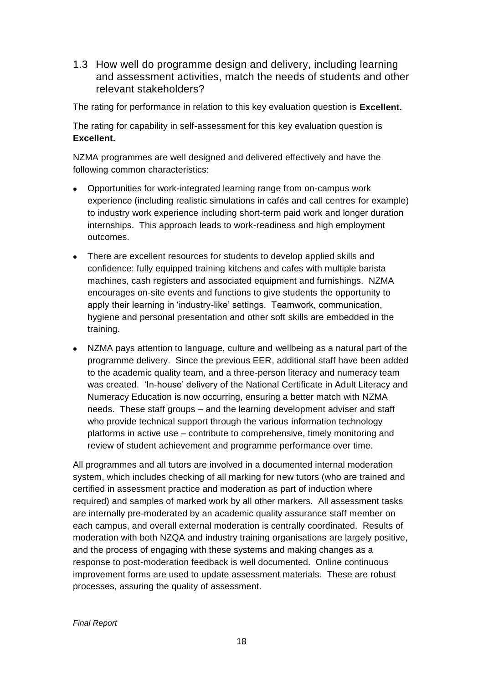1.3 How well do programme design and delivery, including learning and assessment activities, match the needs of students and other relevant stakeholders?

The rating for performance in relation to this key evaluation question is **Excellent.**

The rating for capability in self-assessment for this key evaluation question is **Excellent.**

NZMA programmes are well designed and delivered effectively and have the following common characteristics:

- Opportunities for work-integrated learning range from on-campus work experience (including realistic simulations in cafés and call centres for example) to industry work experience including short-term paid work and longer duration internships. This approach leads to work-readiness and high employment outcomes.
- There are excellent resources for students to develop applied skills and confidence: fully equipped training kitchens and cafes with multiple barista machines, cash registers and associated equipment and furnishings. NZMA encourages on-site events and functions to give students the opportunity to apply their learning in 'industry-like' settings. Teamwork, communication, hygiene and personal presentation and other soft skills are embedded in the training.
- NZMA pays attention to language, culture and wellbeing as a natural part of the programme delivery. Since the previous EER, additional staff have been added to the academic quality team, and a three-person literacy and numeracy team was created. 'In-house' delivery of the National Certificate in Adult Literacy and Numeracy Education is now occurring, ensuring a better match with NZMA needs. These staff groups – and the learning development adviser and staff who provide technical support through the various information technology platforms in active use – contribute to comprehensive, timely monitoring and review of student achievement and programme performance over time.

All programmes and all tutors are involved in a documented internal moderation system, which includes checking of all marking for new tutors (who are trained and certified in assessment practice and moderation as part of induction where required) and samples of marked work by all other markers. All assessment tasks are internally pre-moderated by an academic quality assurance staff member on each campus, and overall external moderation is centrally coordinated. Results of moderation with both NZQA and industry training organisations are largely positive, and the process of engaging with these systems and making changes as a response to post-moderation feedback is well documented. Online continuous improvement forms are used to update assessment materials. These are robust processes, assuring the quality of assessment.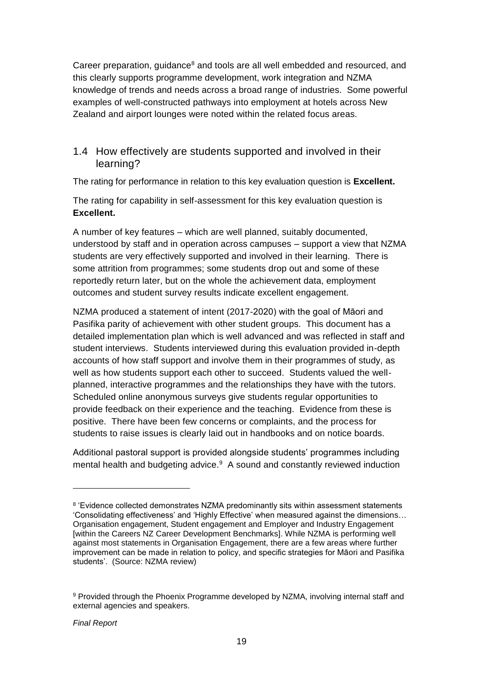Career preparation, guidance $<sup>8</sup>$  and tools are all well embedded and resourced, and</sup> this clearly supports programme development, work integration and NZMA knowledge of trends and needs across a broad range of industries. Some powerful examples of well-constructed pathways into employment at hotels across New Zealand and airport lounges were noted within the related focus areas.

#### 1.4 How effectively are students supported and involved in their learning?

The rating for performance in relation to this key evaluation question is **Excellent.**

The rating for capability in self-assessment for this key evaluation question is **Excellent.**

A number of key features – which are well planned, suitably documented, understood by staff and in operation across campuses – support a view that NZMA students are very effectively supported and involved in their learning. There is some attrition from programmes; some students drop out and some of these reportedly return later, but on the whole the achievement data, employment outcomes and student survey results indicate excellent engagement.

NZMA produced a statement of intent (2017-2020) with the goal of Māori and Pasifika parity of achievement with other student groups. This document has a detailed implementation plan which is well advanced and was reflected in staff and student interviews. Students interviewed during this evaluation provided in-depth accounts of how staff support and involve them in their programmes of study, as well as how students support each other to succeed. Students valued the wellplanned, interactive programmes and the relationships they have with the tutors. Scheduled online anonymous surveys give students regular opportunities to provide feedback on their experience and the teaching. Evidence from these is positive. There have been few concerns or complaints, and the process for students to raise issues is clearly laid out in handbooks and on notice boards.

Additional pastoral support is provided alongside students' programmes including mental health and budgeting advice.<sup>9</sup> A sound and constantly reviewed induction

<sup>&</sup>lt;sup>8</sup> 'Evidence collected demonstrates NZMA predominantly sits within assessment statements 'Consolidating effectiveness' and 'Highly Effective' when measured against the dimensions… Organisation engagement, Student engagement and Employer and Industry Engagement [within the Careers NZ Career Development Benchmarks]. While NZMA is performing well against most statements in Organisation Engagement, there are a few areas where further improvement can be made in relation to policy, and specific strategies for Māori and Pasifika students'. (Source: NZMA review)

<sup>9</sup> Provided through the Phoenix Programme developed by NZMA, involving internal staff and external agencies and speakers.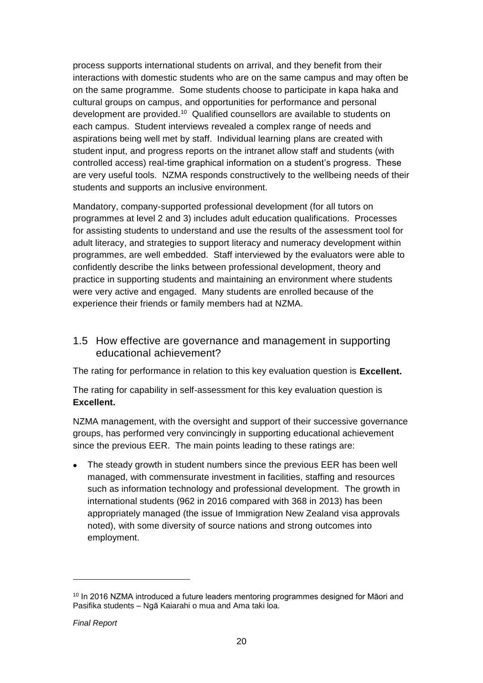process supports international students on arrival, and they benefit from their interactions with domestic students who are on the same campus and may often be on the same programme. Some students choose to participate in kapa haka and cultural groups on campus, and opportunities for performance and personal development are provided.<sup>10</sup> Qualified counsellors are available to students on each campus. Student interviews revealed a complex range of needs and aspirations being well met by staff. Individual learning plans are created with student input, and progress reports on the intranet allow staff and students (with controlled access) real-time graphical information on a student's progress. These are very useful tools. NZMA responds constructively to the wellbeing needs of their students and supports an inclusive environment.

Mandatory, company-supported professional development (for all tutors on programmes at level 2 and 3) includes adult education qualifications. Processes for assisting students to understand and use the results of the assessment tool for adult literacy, and strategies to support literacy and numeracy development within programmes, are well embedded. Staff interviewed by the evaluators were able to confidently describe the links between professional development, theory and practice in supporting students and maintaining an environment where students were very active and engaged. Many students are enrolled because of the experience their friends or family members had at NZMA.

#### 1.5 How effective are governance and management in supporting educational achievement?

The rating for performance in relation to this key evaluation question is **Excellent.**

The rating for capability in self-assessment for this key evaluation question is **Excellent.**

NZMA management, with the oversight and support of their successive governance groups, has performed very convincingly in supporting educational achievement since the previous EER. The main points leading to these ratings are:

• The steady growth in student numbers since the previous EER has been well managed, with commensurate investment in facilities, staffing and resources such as information technology and professional development. The growth in international students (962 in 2016 compared with 368 in 2013) has been appropriately managed (the issue of Immigration New Zealand visa approvals noted), with some diversity of source nations and strong outcomes into employment.

<sup>&</sup>lt;sup>10</sup> In 2016 NZMA introduced a future leaders mentoring programmes designed for Māori and Pasifika students – Ngā Kaiarahi o mua and Ama taki loa.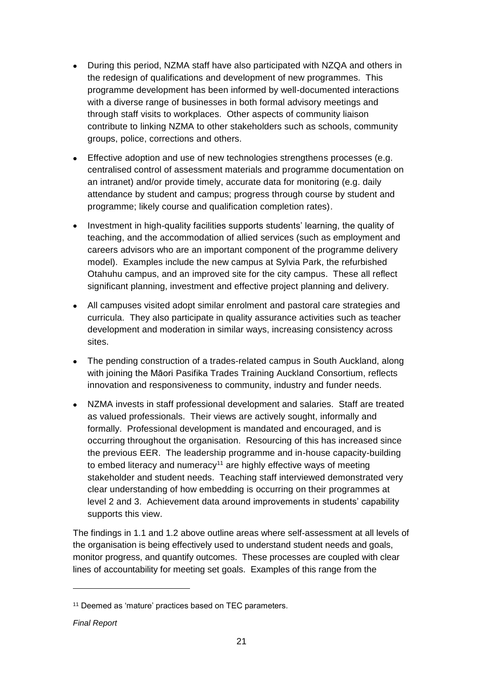- During this period, NZMA staff have also participated with NZQA and others in the redesign of qualifications and development of new programmes. This programme development has been informed by well-documented interactions with a diverse range of businesses in both formal advisory meetings and through staff visits to workplaces. Other aspects of community liaison contribute to linking NZMA to other stakeholders such as schools, community groups, police, corrections and others.
- Effective adoption and use of new technologies strengthens processes (e.g. centralised control of assessment materials and programme documentation on an intranet) and/or provide timely, accurate data for monitoring (e.g. daily attendance by student and campus; progress through course by student and programme; likely course and qualification completion rates).
- Investment in high-quality facilities supports students' learning, the quality of teaching, and the accommodation of allied services (such as employment and careers advisors who are an important component of the programme delivery model). Examples include the new campus at Sylvia Park, the refurbished Otahuhu campus, and an improved site for the city campus. These all reflect significant planning, investment and effective project planning and delivery.
- All campuses visited adopt similar enrolment and pastoral care strategies and curricula. They also participate in quality assurance activities such as teacher development and moderation in similar ways, increasing consistency across sites.
- The pending construction of a trades-related campus in South Auckland, along with joining the Māori Pasifika Trades Training Auckland Consortium, reflects innovation and responsiveness to community, industry and funder needs.
- NZMA invests in staff professional development and salaries. Staff are treated as valued professionals. Their views are actively sought, informally and formally. Professional development is mandated and encouraged, and is occurring throughout the organisation. Resourcing of this has increased since the previous EER. The leadership programme and in-house capacity-building to embed literacy and numeracy<sup>11</sup> are highly effective ways of meeting stakeholder and student needs. Teaching staff interviewed demonstrated very clear understanding of how embedding is occurring on their programmes at level 2 and 3. Achievement data around improvements in students' capability supports this view.

The findings in 1.1 and 1.2 above outline areas where self-assessment at all levels of the organisation is being effectively used to understand student needs and goals, monitor progress, and quantify outcomes. These processes are coupled with clear lines of accountability for meeting set goals. Examples of this range from the

<sup>11</sup> Deemed as 'mature' practices based on TEC parameters.

*Final Report*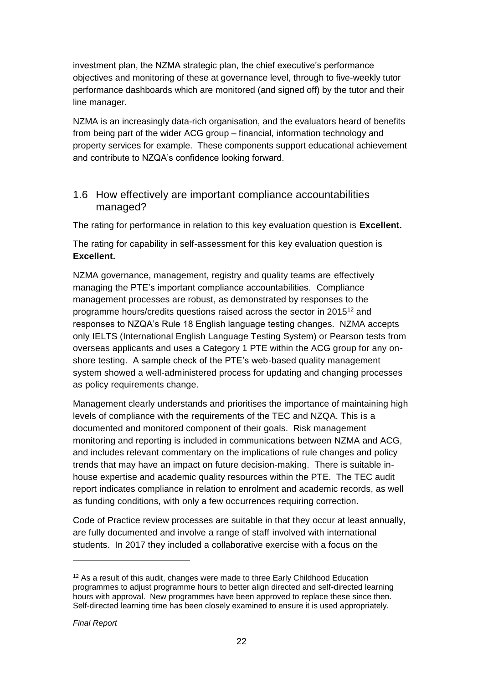investment plan, the NZMA strategic plan, the chief executive's performance objectives and monitoring of these at governance level, through to five-weekly tutor performance dashboards which are monitored (and signed off) by the tutor and their line manager.

NZMA is an increasingly data-rich organisation, and the evaluators heard of benefits from being part of the wider ACG group – financial, information technology and property services for example. These components support educational achievement and contribute to NZQA's confidence looking forward.

#### 1.6 How effectively are important compliance accountabilities managed?

The rating for performance in relation to this key evaluation question is **Excellent.**

The rating for capability in self-assessment for this key evaluation question is **Excellent.**

NZMA governance, management, registry and quality teams are effectively managing the PTE's important compliance accountabilities. Compliance management processes are robust, as demonstrated by responses to the programme hours/credits questions raised across the sector in 2015<sup>12</sup> and responses to NZQA's Rule 18 English language testing changes. NZMA accepts only IELTS (International English Language Testing System) or Pearson tests from overseas applicants and uses a Category 1 PTE within the ACG group for any onshore testing. A sample check of the PTE's web-based quality management system showed a well-administered process for updating and changing processes as policy requirements change.

Management clearly understands and prioritises the importance of maintaining high levels of compliance with the requirements of the TEC and NZQA. This is a documented and monitored component of their goals. Risk management monitoring and reporting is included in communications between NZMA and ACG, and includes relevant commentary on the implications of rule changes and policy trends that may have an impact on future decision-making. There is suitable inhouse expertise and academic quality resources within the PTE. The TEC audit report indicates compliance in relation to enrolment and academic records, as well as funding conditions, with only a few occurrences requiring correction.

Code of Practice review processes are suitable in that they occur at least annually, are fully documented and involve a range of staff involved with international students. In 2017 they included a collaborative exercise with a focus on the

<sup>12</sup> As a result of this audit, changes were made to three Early Childhood Education programmes to adjust programme hours to better align directed and self-directed learning hours with approval. New programmes have been approved to replace these since then. Self-directed learning time has been closely examined to ensure it is used appropriately.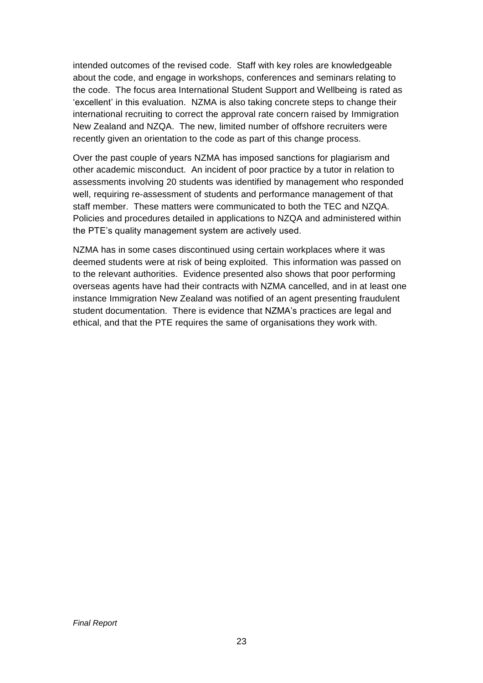intended outcomes of the revised code. Staff with key roles are knowledgeable about the code, and engage in workshops, conferences and seminars relating to the code. The focus area International Student Support and Wellbeing is rated as 'excellent' in this evaluation. NZMA is also taking concrete steps to change their international recruiting to correct the approval rate concern raised by Immigration New Zealand and NZQA. The new, limited number of offshore recruiters were recently given an orientation to the code as part of this change process.

Over the past couple of years NZMA has imposed sanctions for plagiarism and other academic misconduct. An incident of poor practice by a tutor in relation to assessments involving 20 students was identified by management who responded well, requiring re-assessment of students and performance management of that staff member. These matters were communicated to both the TEC and NZQA. Policies and procedures detailed in applications to NZQA and administered within the PTE's quality management system are actively used.

NZMA has in some cases discontinued using certain workplaces where it was deemed students were at risk of being exploited. This information was passed on to the relevant authorities. Evidence presented also shows that poor performing overseas agents have had their contracts with NZMA cancelled, and in at least one instance Immigration New Zealand was notified of an agent presenting fraudulent student documentation. There is evidence that NZMA's practices are legal and ethical, and that the PTE requires the same of organisations they work with.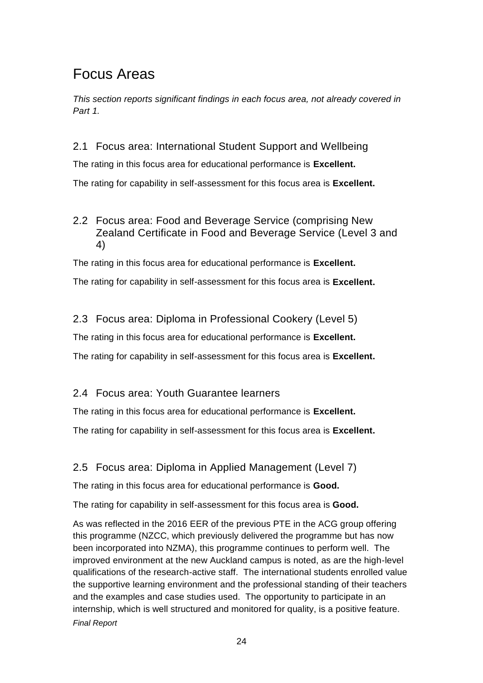### Focus Areas

*This section reports significant findings in each focus area, not already covered in Part 1.* 

2.1 Focus area: International Student Support and Wellbeing

The rating in this focus area for educational performance is **Excellent.**

The rating for capability in self-assessment for this focus area is **Excellent.**

#### 2.2 Focus area: Food and Beverage Service (comprising New Zealand Certificate in Food and Beverage Service (Level 3 and 4)

The rating in this focus area for educational performance is **Excellent.**

The rating for capability in self-assessment for this focus area is **Excellent.**

#### 2.3 Focus area: Diploma in Professional Cookery (Level 5)

The rating in this focus area for educational performance is **Excellent.**

The rating for capability in self-assessment for this focus area is **Excellent.**

#### 2.4 Focus area: Youth Guarantee learners

The rating in this focus area for educational performance is **Excellent.**

The rating for capability in self-assessment for this focus area is **Excellent.**

#### 2.5 Focus area: Diploma in Applied Management (Level 7)

The rating in this focus area for educational performance is **Good.**

The rating for capability in self-assessment for this focus area is **Good.**

*Final Report* As was reflected in the 2016 EER of the previous PTE in the ACG group offering this programme (NZCC, which previously delivered the programme but has now been incorporated into NZMA), this programme continues to perform well. The improved environment at the new Auckland campus is noted, as are the high-level qualifications of the research-active staff. The international students enrolled value the supportive learning environment and the professional standing of their teachers and the examples and case studies used. The opportunity to participate in an internship, which is well structured and monitored for quality, is a positive feature.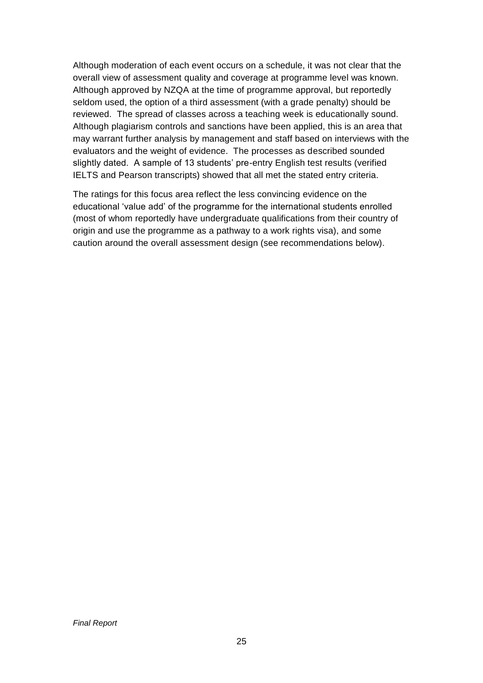Although moderation of each event occurs on a schedule, it was not clear that the overall view of assessment quality and coverage at programme level was known. Although approved by NZQA at the time of programme approval, but reportedly seldom used, the option of a third assessment (with a grade penalty) should be reviewed. The spread of classes across a teaching week is educationally sound. Although plagiarism controls and sanctions have been applied, this is an area that may warrant further analysis by management and staff based on interviews with the evaluators and the weight of evidence. The processes as described sounded slightly dated. A sample of 13 students' pre-entry English test results (verified IELTS and Pearson transcripts) showed that all met the stated entry criteria.

The ratings for this focus area reflect the less convincing evidence on the educational 'value add' of the programme for the international students enrolled (most of whom reportedly have undergraduate qualifications from their country of origin and use the programme as a pathway to a work rights visa), and some caution around the overall assessment design (see recommendations below).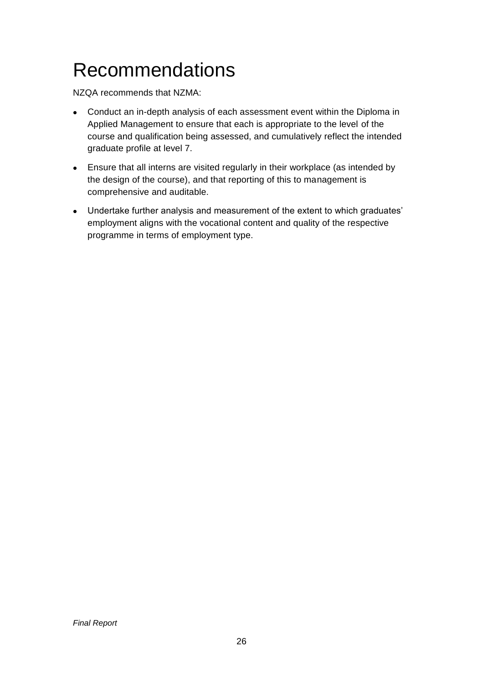## <span id="page-25-0"></span>Recommendations

NZQA recommends that NZMA:

- Conduct an in-depth analysis of each assessment event within the Diploma in Applied Management to ensure that each is appropriate to the level of the course and qualification being assessed, and cumulatively reflect the intended graduate profile at level 7.
- Ensure that all interns are visited regularly in their workplace (as intended by the design of the course), and that reporting of this to management is comprehensive and auditable.
- Undertake further analysis and measurement of the extent to which graduates' employment aligns with the vocational content and quality of the respective programme in terms of employment type.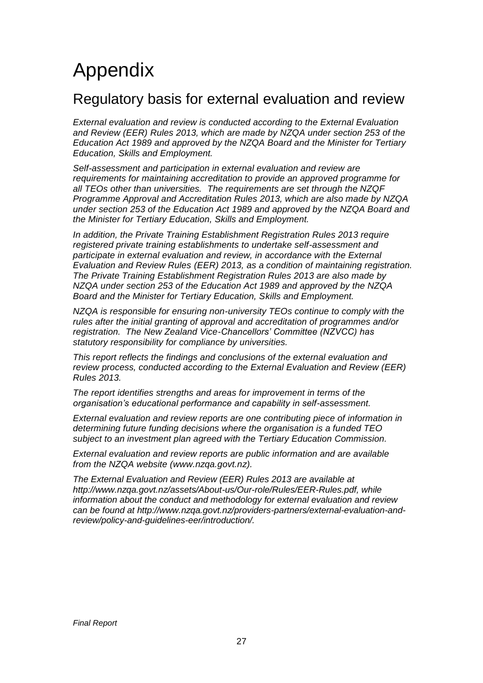## <span id="page-26-0"></span>Appendix

### Regulatory basis for external evaluation and review

*External evaluation and review is conducted according to the External Evaluation and Review (EER) Rules 2013, which are made by NZQA under section 253 of the Education Act 1989 and approved by the NZQA Board and the Minister for Tertiary Education, Skills and Employment.*

*Self-assessment and participation in external evaluation and review are requirements for maintaining accreditation to provide an approved programme for all TEOs other than universities. The requirements are set through the NZQF Programme Approval and Accreditation Rules 2013, which are also made by NZQA under section 253 of the Education Act 1989 and approved by the NZQA Board and the Minister for Tertiary Education, Skills and Employment.* 

*In addition, the Private Training Establishment Registration Rules 2013 require registered private training establishments to undertake self-assessment and participate in external evaluation and review, in accordance with the External Evaluation and Review Rules (EER) 2013, as a condition of maintaining registration. The Private Training Establishment Registration Rules 2013 are also made by NZQA under section 253 of the Education Act 1989 and approved by the NZQA Board and the Minister for Tertiary Education, Skills and Employment.* 

*NZQA is responsible for ensuring non-university TEOs continue to comply with the rules after the initial granting of approval and accreditation of programmes and/or registration. The New Zealand Vice-Chancellors' Committee (NZVCC) has statutory responsibility for compliance by universities.* 

*This report reflects the findings and conclusions of the external evaluation and review process, conducted according to the External Evaluation and Review (EER) Rules 2013.*

*The report identifies strengths and areas for improvement in terms of the organisation's educational performance and capability in self-assessment.*

*External evaluation and review reports are one contributing piece of information in determining future funding decisions where the organisation is a funded TEO subject to an investment plan agreed with the Tertiary Education Commission.*

*External evaluation and review reports are public information and are available from the NZQA website [\(www.nzqa.govt.nz\)](http://www.nzqa.govt.nz/).*

*The External Evaluation and Review (EER) Rules 2013 are available at [http://www.nzqa.govt.nz/assets/About-us/Our-role/Rules/EER-Rules.pdf,](http://www.nzqa.govt.nz/assets/About-us/Our-role/Rules/EER-Rules.pdf) while information about the conduct and methodology for external evaluation and review can be found at [http://www.nzqa.govt.nz/providers-partners/external-evaluation-and](http://www.nzqa.govt.nz/providers-partners/external-evaluation-and-review/policy-and-guidelines-eer/introduction/)[review/policy-and-guidelines-eer/introduction/.](http://www.nzqa.govt.nz/providers-partners/external-evaluation-and-review/policy-and-guidelines-eer/introduction/)*